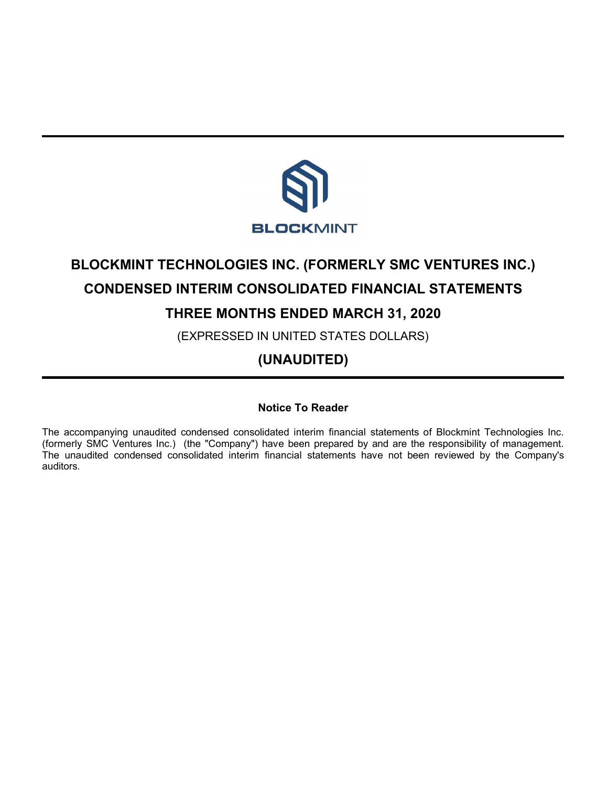

# **BLOCKMINT TECHNOLOGIES INC. (FORMERLY SMC VENTURES INC.) CONDENSED INTERIM CONSOLIDATED FINANCIAL STATEMENTS**

# **THREE MONTHS ENDED MARCH 31, 2020**

(EXPRESSED IN UNITED STATES DOLLARS)

# **(UNAUDITED)**

## **Notice To Reader**

The accompanying unaudited condensed consolidated interim financial statements of Blockmint Technologies Inc. (formerly SMC Ventures Inc.) (the "Company") have been prepared by and are the responsibility of management. The unaudited condensed consolidated interim financial statements have not been reviewed by the Company's auditors.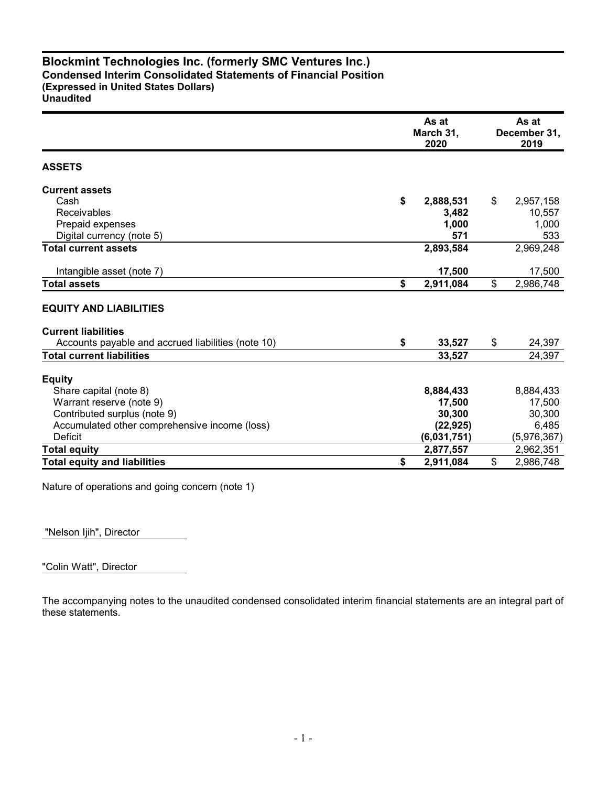#### **Blockmint Technologies Inc. (formerly SMC Ventures Inc.) Condensed Interim Consolidated Statements of Financial Position (Expressed in United States Dollars) Unaudited**

|                                                    | As at<br>March 31,<br>2020 |             |    | As at<br>December 31,<br>2019 |  |
|----------------------------------------------------|----------------------------|-------------|----|-------------------------------|--|
| <b>ASSETS</b>                                      |                            |             |    |                               |  |
| <b>Current assets</b>                              |                            |             |    |                               |  |
| Cash                                               | \$                         | 2,888,531   | \$ | 2,957,158                     |  |
| <b>Receivables</b>                                 |                            | 3,482       |    | 10,557                        |  |
| Prepaid expenses                                   |                            | 1,000       |    | 1,000                         |  |
| Digital currency (note 5)                          |                            | 571         |    | 533                           |  |
| <b>Total current assets</b>                        |                            | 2,893,584   |    | 2,969,248                     |  |
| Intangible asset (note 7)                          |                            | 17,500      |    | 17,500                        |  |
| <b>Total assets</b>                                | \$                         | 2,911,084   | \$ | 2,986,748                     |  |
| <b>EQUITY AND LIABILITIES</b>                      |                            |             |    |                               |  |
| <b>Current liabilities</b>                         |                            |             |    |                               |  |
| Accounts payable and accrued liabilities (note 10) | \$                         | 33,527      | \$ | 24,397                        |  |
| <b>Total current liabilities</b>                   |                            | 33,527      |    | 24,397                        |  |
| <b>Equity</b>                                      |                            |             |    |                               |  |
| Share capital (note 8)                             |                            | 8,884,433   |    | 8,884,433                     |  |
| Warrant reserve (note 9)                           |                            | 17,500      |    | 17,500                        |  |
| Contributed surplus (note 9)                       |                            | 30,300      |    | 30,300                        |  |
| Accumulated other comprehensive income (loss)      |                            | (22, 925)   |    | 6,485                         |  |
| <b>Deficit</b>                                     |                            | (6,031,751) |    | (5,976,367)                   |  |
| <b>Total equity</b>                                |                            | 2,877,557   |    | 2,962,351                     |  |
| <b>Total equity and liabilities</b>                | \$                         | 2,911,084   | \$ | 2,986,748                     |  |

Nature of operations and going concern (note 1)

"Nelson Ijih", Director

"Colin Watt", Director

The accompanying notes to the unaudited condensed consolidated interim financial statements are an integral part of these statements.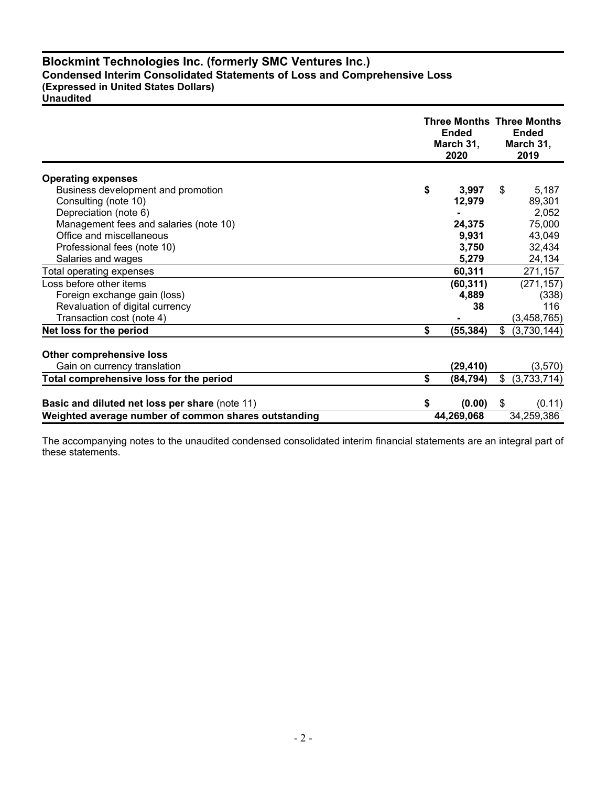### **Blockmint Technologies Inc. (formerly SMC Ventures Inc.) Condensed Interim Consolidated Statements of Loss and Comprehensive Loss (Expressed in United States Dollars)**

| <b>Unaudited</b> |
|------------------|
|------------------|

|                                                      |    | <b>Three Months Three Months</b><br><b>Ended</b><br>March 31,<br>2020 |              | <b>Ended</b><br>March 31,<br>2019 |
|------------------------------------------------------|----|-----------------------------------------------------------------------|--------------|-----------------------------------|
| <b>Operating expenses</b>                            |    |                                                                       |              |                                   |
| Business development and promotion                   | \$ | 3,997                                                                 | \$           | 5,187                             |
| Consulting (note 10)                                 |    | 12,979                                                                |              | 89,301                            |
| Depreciation (note 6)                                |    |                                                                       |              | 2,052                             |
| Management fees and salaries (note 10)               |    | 24,375                                                                |              | 75,000                            |
| Office and miscellaneous                             |    | 9,931                                                                 |              | 43,049                            |
| Professional fees (note 10)                          |    | 3,750                                                                 |              | 32,434                            |
| Salaries and wages                                   |    | 5,279                                                                 |              | 24,134                            |
| Total operating expenses                             |    | 60,311                                                                |              | 271,157                           |
| Loss before other items                              |    | (60, 311)                                                             |              | (271, 157)                        |
| Foreign exchange gain (loss)                         |    | 4,889                                                                 |              | (338)                             |
| Revaluation of digital currency                      |    | 38                                                                    |              | 116                               |
| Transaction cost (note 4)                            |    |                                                                       |              | (3,458,765)                       |
| Net loss for the period                              | \$ | (55,384)                                                              | $\mathbb{S}$ | (3,730,144)                       |
| <b>Other comprehensive loss</b>                      |    |                                                                       |              |                                   |
| Gain on currency translation                         |    | (29, 410)                                                             |              | (3,570)                           |
| Total comprehensive loss for the period              | \$ | (84, 794)                                                             | \$           | (3,733,714)                       |
|                                                      |    |                                                                       |              |                                   |
| Basic and diluted net loss per share (note 11)       | S  | (0.00)                                                                | \$           | (0.11)                            |
| Weighted average number of common shares outstanding |    | 44,269,068                                                            |              | 34,259,386                        |

The accompanying notes to the unaudited condensed consolidated interim financial statements are an integral part of these statements.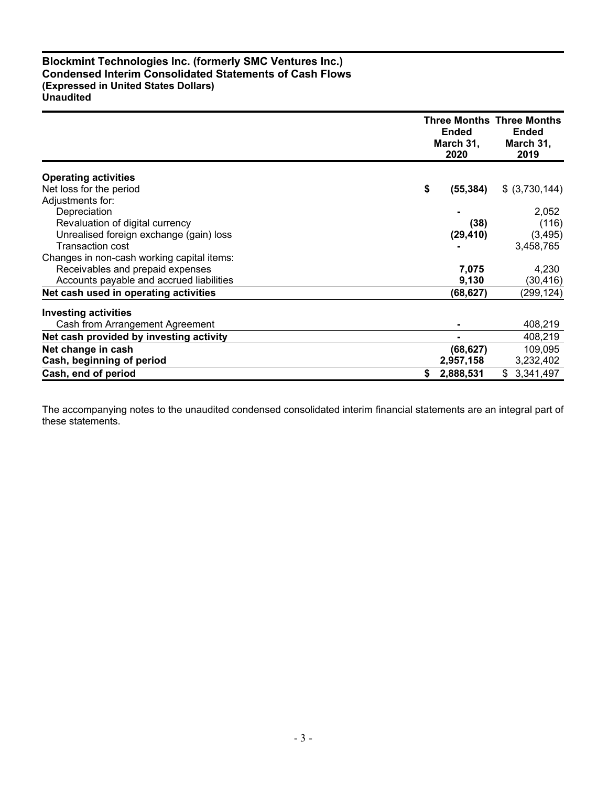#### **Blockmint Technologies Inc. (formerly SMC Ventures Inc.) Condensed Interim Consolidated Statements of Cash Flows (Expressed in United States Dollars) Unaudited**

|                                            | <b>Three Months Three Months</b><br><b>Ended</b><br>March 31,<br>2020 |                 |  |
|--------------------------------------------|-----------------------------------------------------------------------|-----------------|--|
| <b>Operating activities</b>                |                                                                       |                 |  |
| Net loss for the period                    | \$<br>(55, 384)                                                       | \$ (3,730,144)  |  |
| Adjustments for:                           |                                                                       |                 |  |
| Depreciation                               |                                                                       | 2,052           |  |
| Revaluation of digital currency            | (38)                                                                  | (116)           |  |
| Unrealised foreign exchange (gain) loss    | (29, 410)                                                             | (3, 495)        |  |
| <b>Transaction cost</b>                    |                                                                       | 3,458,765       |  |
| Changes in non-cash working capital items: |                                                                       |                 |  |
| Receivables and prepaid expenses           | 7,075                                                                 | 4,230           |  |
| Accounts payable and accrued liabilities   | 9,130                                                                 | (30, 416)       |  |
| Net cash used in operating activities      | (68,627)                                                              | (299,124)       |  |
| <b>Investing activities</b>                |                                                                       |                 |  |
| Cash from Arrangement Agreement            |                                                                       | 408,219         |  |
| Net cash provided by investing activity    |                                                                       | 408,219         |  |
| Net change in cash                         | (68, 627)                                                             | 109,095         |  |
| Cash, beginning of period                  | 2,957,158                                                             | 3,232,402       |  |
| Cash, end of period                        | \$<br>2,888,531                                                       | 3,341,497<br>\$ |  |

The accompanying notes to the unaudited condensed consolidated interim financial statements are an integral part of these statements.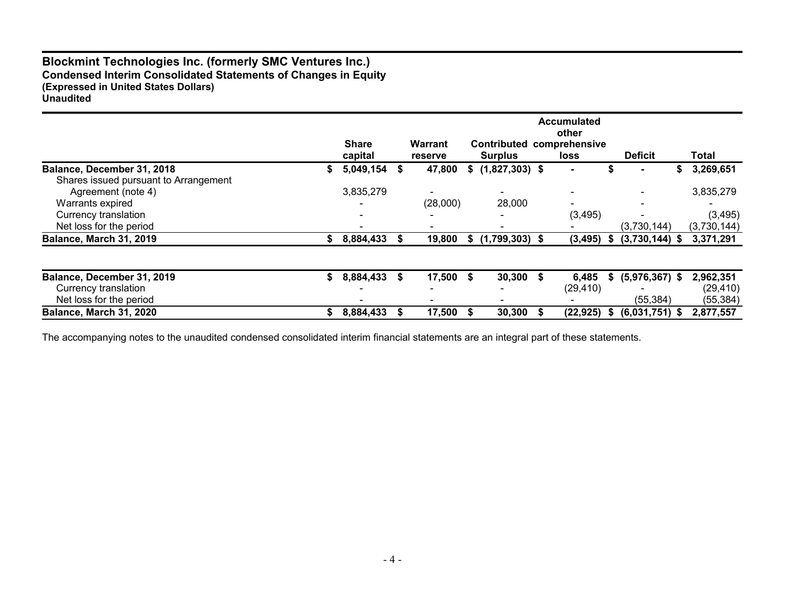#### **Blockmint Technologies Inc. (formerly SMC Ventures Inc.) Condensed Interim Consolidated Statements of Changes in Equity (Expressed in United States Dollars) Unaudited**

|                                       |    | <b>Share</b>             | Warrant                  |      | Contributed      |    | <b>Accumulated</b><br>other<br>comprehensive |    |                  |    |             |
|---------------------------------------|----|--------------------------|--------------------------|------|------------------|----|----------------------------------------------|----|------------------|----|-------------|
|                                       |    | capital                  | reserve                  |      | <b>Surplus</b>   |    | loss                                         |    | <b>Deficit</b>   |    | Total       |
| Balance, December 31, 2018            | æ  | 5,049,154                | 47,800                   | S.   | $(1,827,303)$ \$ |    |                                              | S  |                  | S. | 3,269,651   |
| Shares issued pursuant to Arrangement |    |                          |                          |      |                  |    |                                              |    |                  |    |             |
| Agreement (note 4)                    |    | 3,835,279                | $\overline{\phantom{0}}$ |      | $\blacksquare$   |    |                                              |    |                  |    | 3,835,279   |
| Warrants expired                      |    |                          | (28,000)                 |      | 28,000           |    |                                              |    |                  |    |             |
| Currency translation                  |    |                          |                          |      |                  |    | (3, 495)                                     |    |                  |    | (3, 495)    |
| Net loss for the period               |    | $\overline{\phantom{0}}$ |                          |      |                  |    |                                              |    | (3,730,144)      |    | (3,730,144) |
| Balance, March 31, 2019               |    | 8,884,433                | 19,800                   | S.   | $(1,799,303)$ \$ |    | (3, 495)                                     | \$ | $(3,730,144)$ \$ |    | 3,371,291   |
|                                       |    |                          |                          |      |                  |    |                                              |    |                  |    |             |
| Balance, December 31, 2019            | S. | 8,884,433                | 17,500                   | - \$ | 30,300           | -S | 6,485                                        | S. | $(5,976,367)$ \$ |    | 2,962,351   |
| Currency translation                  |    |                          |                          |      |                  |    | (29, 410)                                    |    |                  |    | (29, 410)   |
| Net loss for the period               |    |                          |                          |      |                  |    |                                              |    | (55, 384)        |    | (55, 384)   |
| Balance, March 31, 2020               |    | 8,884,433                | 17,500                   |      | 30,300           |    | (22, 925)                                    | 5  | $(6,031,751)$ \$ |    | 2,877,557   |

The accompanying notes to the unaudited condensed consolidated interim financial statements are an integral part of these statements.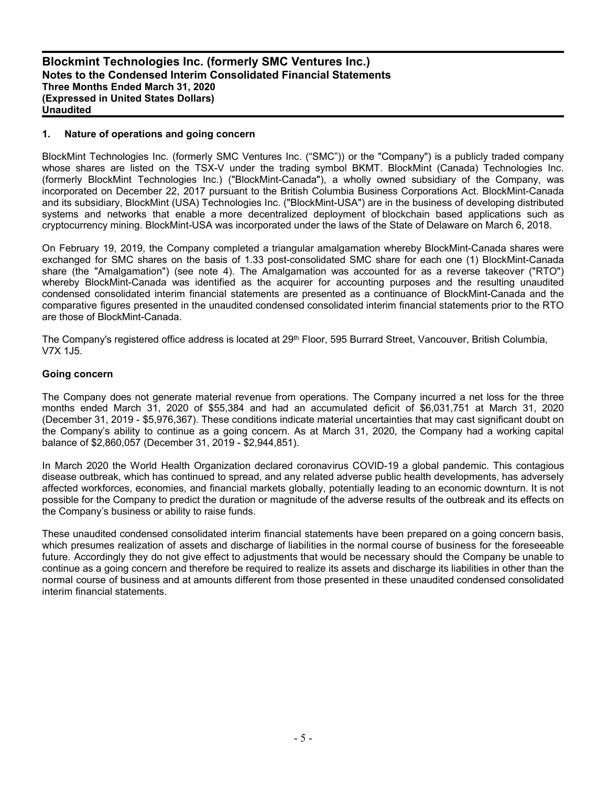#### **1. Nature of operations and going concern**

BlockMint Technologies Inc. (formerly SMC Ventures Inc. ("SMC")) or the "Company") is a publicly traded company whose shares are listed on the TSX-V under the trading symbol BKMT. BlockMint (Canada) Technologies Inc. (formerly BlockMint Technologies Inc.) ("BlockMint-Canada"), a wholly owned subsidiary of the Company, was incorporated on December 22, 2017 pursuant to the British Columbia Business Corporations Act. BlockMint-Canada and its subsidiary, BlockMint (USA) Technologies Inc. ("BlockMint-USA") are in the business of developing distributed systems and networks that enable a more decentralized deployment of blockchain based applications such as cryptocurrency mining. BlockMint-USA was incorporated under the laws of the State of Delaware on March 6, 2018.

On February 19, 2019, the Company completed a triangular amalgamation whereby BlockMint-Canada shares were exchanged for SMC shares on the basis of 1.33 post-consolidated SMC share for each one (1) BlockMint-Canada share (the "Amalgamation") (see note 4). The Amalgamation was accounted for as a reverse takeover ("RTO") whereby BlockMint-Canada was identified as the acquirer for accounting purposes and the resulting unaudited condensed consolidated interim financial statements are presented as a continuance of BlockMint-Canada and the comparative figures presented in the unaudited condensed consolidated interim financial statements prior to the RTO are those of BlockMint-Canada.

The Company's registered office address is located at 29<sup>th</sup> Floor, 595 Burrard Street, Vancouver, British Columbia, V7X 1J5.

#### **Going concern**

The Company does not generate material revenue from operations. The Company incurred a net loss for the three months ended March 31, 2020 of \$55,384 and had an accumulated deficit of \$6,031,751 at March 31, 2020 (December 31, 2019 - \$5,976,367). These conditions indicate material uncertainties that may cast significant doubt on the Company's ability to continue as a going concern. As at March 31, 2020, the Company had a working capital balance of \$2,860,057 (December 31, 2019 - \$2,944,851).

In March 2020 the World Health Organization declared coronavirus COVID-19 a global pandemic. This contagious disease outbreak, which has continued to spread, and any related adverse public health developments, has adversely affected workforces, economies, and financial markets globally, potentially leading to an economic downturn. It is not possible for the Company to predict the duration or magnitude of the adverse results of the outbreak and its effects on the Company's business or ability to raise funds.

These unaudited condensed consolidated interim financial statements have been prepared on a going concern basis, which presumes realization of assets and discharge of liabilities in the normal course of business for the foreseeable future. Accordingly they do not give effect to adjustments that would be necessary should the Company be unable to continue as a going concern and therefore be required to realize its assets and discharge its liabilities in other than the normal course of business and at amounts different from those presented in these unaudited condensed consolidated interim financial statements.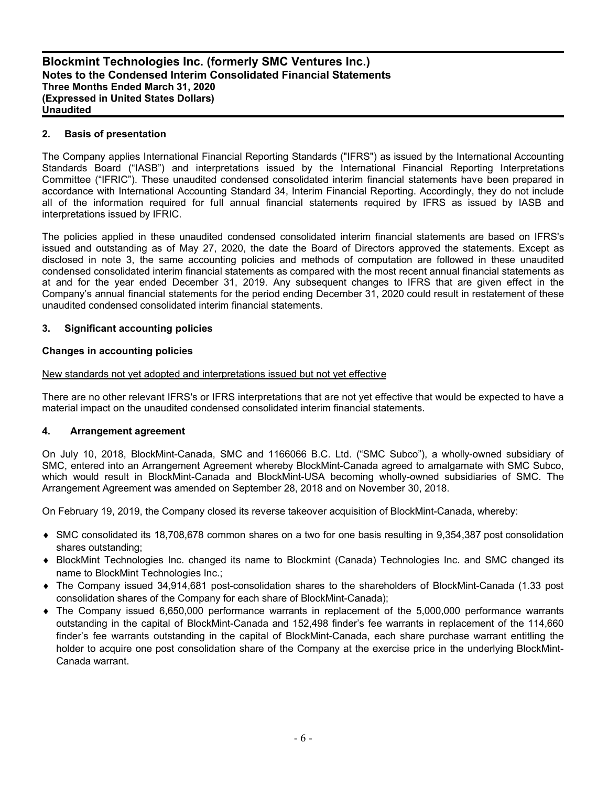#### **2. Basis of presentation**

The Company applies International Financial Reporting Standards ("IFRS") as issued by the International Accounting Standards Board ("IASB") and interpretations issued by the International Financial Reporting Interpretations Committee ("IFRIC"). These unaudited condensed consolidated interim financial statements have been prepared in accordance with International Accounting Standard 34, Interim Financial Reporting. Accordingly, they do not include all of the information required for full annual financial statements required by IFRS as issued by IASB and interpretations issued by IFRIC.

The policies applied in these unaudited condensed consolidated interim financial statements are based on IFRS's issued and outstanding as of May 27, 2020, the date the Board of Directors approved the statements. Except as disclosed in note 3, the same accounting policies and methods of computation are followed in these unaudited condensed consolidated interim financial statements as compared with the most recent annual financial statements as at and for the year ended December 31, 2019. Any subsequent changes to IFRS that are given effect in the Company's annual financial statements for the period ending December 31, 2020 could result in restatement of these unaudited condensed consolidated interim financial statements.

#### **3. Significant accounting policies**

#### **Changes in accounting policies**

#### New standards not yet adopted and interpretations issued but not yet effective

There are no other relevant IFRS's or IFRS interpretations that are not yet effective that would be expected to have a material impact on the unaudited condensed consolidated interim financial statements.

#### **4. Arrangement agreement**

On July 10, 2018, BlockMint-Canada, SMC and 1166066 B.C. Ltd. ("SMC Subco"), a wholly-owned subsidiary of SMC, entered into an Arrangement Agreement whereby BlockMint-Canada agreed to amalgamate with SMC Subco, which would result in BlockMint-Canada and BlockMint-USA becoming wholly-owned subsidiaries of SMC. The Arrangement Agreement was amended on September 28, 2018 and on November 30, 2018.

On February 19, 2019, the Company closed its reverse takeover acquisition of BlockMint-Canada, whereby:

- SMC consolidated its 18,708,678 common shares on a two for one basis resulting in 9,354,387 post consolidation shares outstanding;
- BlockMint Technologies Inc. changed its name to Blockmint (Canada) Technologies Inc. and SMC changed its name to BlockMint Technologies Inc.;
- The Company issued 34,914,681 post-consolidation shares to the shareholders of BlockMint-Canada (1.33 post consolidation shares of the Company for each share of BlockMint-Canada);
- The Company issued 6,650,000 performance warrants in replacement of the 5,000,000 performance warrants outstanding in the capital of BlockMint-Canada and 152,498 finder's fee warrants in replacement of the 114,660 finder's fee warrants outstanding in the capital of BlockMint-Canada, each share purchase warrant entitling the holder to acquire one post consolidation share of the Company at the exercise price in the underlying BlockMint-Canada warrant.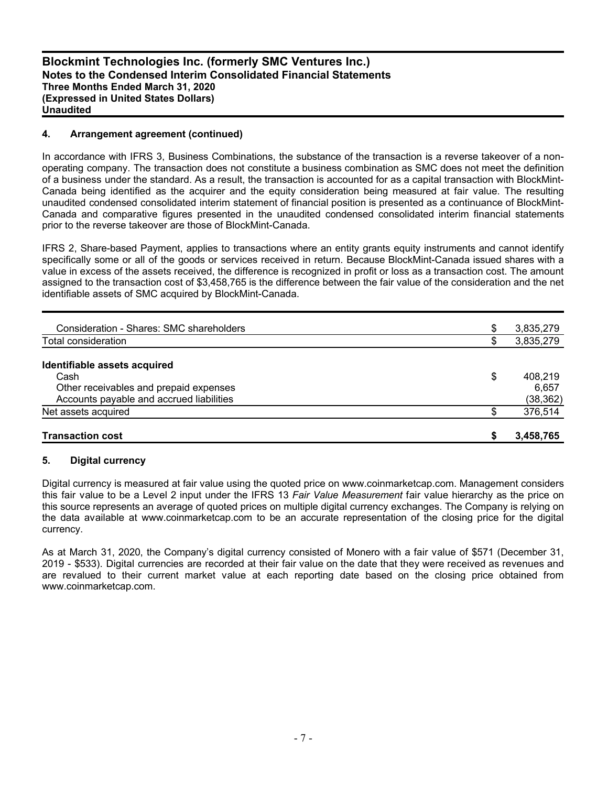#### **4. Arrangement agreement (continued)**

In accordance with IFRS 3, Business Combinations, the substance of the transaction is a reverse takeover of a nonoperating company. The transaction does not constitute a business combination as SMC does not meet the definition of a business under the standard. As a result, the transaction is accounted for as a capital transaction with BlockMint-Canada being identified as the acquirer and the equity consideration being measured at fair value. The resulting unaudited condensed consolidated interim statement of financial position is presented as a continuance of BlockMint-Canada and comparative figures presented in the unaudited condensed consolidated interim financial statements prior to the reverse takeover are those of BlockMint-Canada.

IFRS 2, Share-based Payment, applies to transactions where an entity grants equity instruments and cannot identify specifically some or all of the goods or services received in return. Because BlockMint-Canada issued shares with a value in excess of the assets received, the difference is recognized in profit or loss as a transaction cost. The amount assigned to the transaction cost of \$3,458,765 is the difference between the fair value of the consideration and the net identifiable assets of SMC acquired by BlockMint-Canada.

| <b>Transaction cost</b>                  |    | 3,458,765 |
|------------------------------------------|----|-----------|
| Net assets acquired                      | S  | 376,514   |
| Accounts payable and accrued liabilities |    | (38, 362) |
| Other receivables and prepaid expenses   |    | 6.657     |
| Cash                                     | \$ | 408.219   |
| Identifiable assets acquired             |    |           |
| Total consideration                      | Ф  | 3,835,279 |
|                                          |    |           |
| Consideration - Shares: SMC shareholders | \$ | 3,835,279 |
|                                          |    |           |

#### **5. Digital currency**

Digital currency is measured at fair value using the quoted price on www.coinmarketcap.com. Management considers this fair value to be a Level 2 input under the IFRS 13 *Fair Value Measurement* fair value hierarchy as the price on this source represents an average of quoted prices on multiple digital currency exchanges. The Company is relying on the data available at www.coinmarketcap.com to be an accurate representation of the closing price for the digital currency.

As at March 31, 2020, the Company's digital currency consisted of Monero with a fair value of \$571 (December 31, 2019 - \$533). Digital currencies are recorded at their fair value on the date that they were received as revenues and are revalued to their current market value at each reporting date based on the closing price obtained from www.coinmarketcap.com.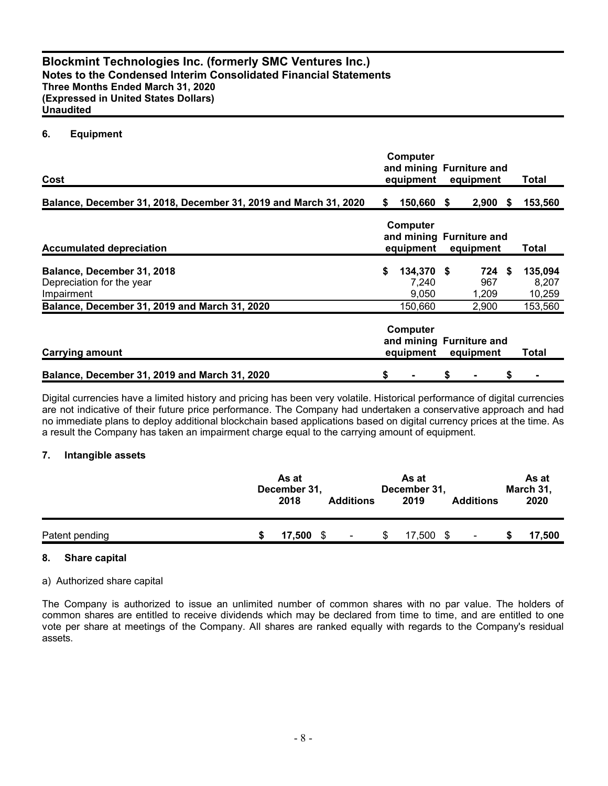#### **6. Equipment**

| Cost                                                                                                                   |    | <b>Computer</b><br>and mining Furniture and<br>equipment |    | equipment                       | Total                                 |
|------------------------------------------------------------------------------------------------------------------------|----|----------------------------------------------------------|----|---------------------------------|---------------------------------------|
| Balance, December 31, 2018, December 31, 2019 and March 31, 2020                                                       | S  | 150,660                                                  | -S | $2,900$ \$                      | 153,560                               |
| <b>Accumulated depreciation</b>                                                                                        |    | <b>Computer</b><br>and mining Furniture and<br>equipment |    | equipment                       | Total                                 |
| Balance, December 31, 2018<br>Depreciation for the year<br>Impairment<br>Balance, December 31, 2019 and March 31, 2020 | \$ | 134,370 \$<br>7,240<br>9,050<br>150,660                  |    | 724 \$<br>967<br>1,209<br>2,900 | 135,094<br>8,207<br>10,259<br>153,560 |
| <b>Carrying amount</b>                                                                                                 |    | <b>Computer</b><br>and mining Furniture and<br>equipment |    | equipment                       | Total                                 |
| Balance, December 31, 2019 and March 31, 2020                                                                          | \$ |                                                          | \$ |                                 |                                       |

Digital currencies have a limited history and pricing has been very volatile. Historical performance of digital currencies are not indicative of their future price performance. The Company had undertaken a conservative approach and had no immediate plans to deploy additional blockchain based applications based on digital currency prices at the time. As a result the Company has taken an impairment charge equal to the carrying amount of equipment.

#### **7. Intangible assets**

|                | As at<br>December 31,<br>2018 | <b>Additions</b> |   | As at<br>December 31,<br>2019 | <b>Additions</b> | As at<br>March 31,<br>2020 |
|----------------|-------------------------------|------------------|---|-------------------------------|------------------|----------------------------|
| Patent pending | 17,500                        | $\blacksquare$   | S | 17,500 \$                     | ۰                | 17,500                     |

#### **8. Share capital**

#### a) Authorized share capital

The Company is authorized to issue an unlimited number of common shares with no par value. The holders of common shares are entitled to receive dividends which may be declared from time to time, and are entitled to one vote per share at meetings of the Company. All shares are ranked equally with regards to the Company's residual assets.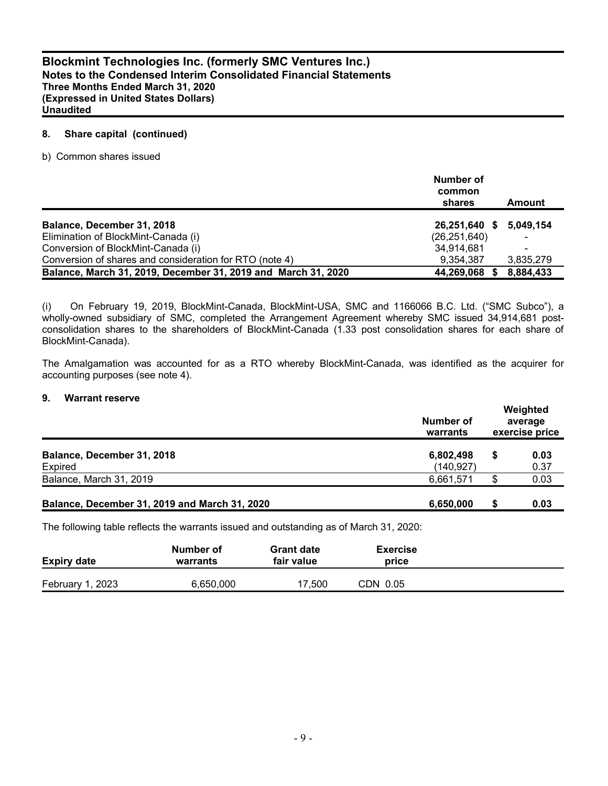#### **8. Share capital (continued)**

b) Common shares issued

|                                                               | Number of<br>common<br>shares | Amount    |
|---------------------------------------------------------------|-------------------------------|-----------|
| Balance, December 31, 2018                                    | 26,251,640 \$                 | 5,049,154 |
| Elimination of BlockMint-Canada (i)                           | (26, 251, 640)                |           |
| Conversion of BlockMint-Canada (i)                            | 34,914,681                    |           |
| Conversion of shares and consideration for RTO (note 4)       | 9.354.387                     | 3,835,279 |
| Balance, March 31, 2019, December 31, 2019 and March 31, 2020 | 44,269,068                    | 8,884,433 |

(i) On February 19, 2019, BlockMint-Canada, BlockMint-USA, SMC and 1166066 B.C. Ltd. ("SMC Subco"), a wholly-owned subsidiary of SMC, completed the Arrangement Agreement whereby SMC issued 34,914,681 postconsolidation shares to the shareholders of BlockMint-Canada (1.33 post consolidation shares for each share of BlockMint-Canada).

The Amalgamation was accounted for as a RTO whereby BlockMint-Canada, was identified as the acquirer for accounting purposes (see note 4).

#### **9. Warrant reserve**

|                                               | Number of<br>warrants   | Weighted<br>average<br>exercise price |              |  |  |
|-----------------------------------------------|-------------------------|---------------------------------------|--------------|--|--|
| Balance, December 31, 2018<br>Expired         | 6,802,498<br>(140, 927) |                                       | 0.03<br>0.37 |  |  |
| Balance, March 31, 2019                       | 6,661,571               |                                       | 0.03         |  |  |
| Balance, December 31, 2019 and March 31, 2020 | 6,650,000               |                                       | 0.03         |  |  |

The following table reflects the warrants issued and outstanding as of March 31, 2020:

| <b>Expiry date</b> | Number of<br>warrants | <b>Grant date</b><br>fair value | Exercise<br>price |  |
|--------------------|-----------------------|---------------------------------|-------------------|--|
| February 1, 2023   | 6.650.000             | 17.500                          | CDN 0.05          |  |